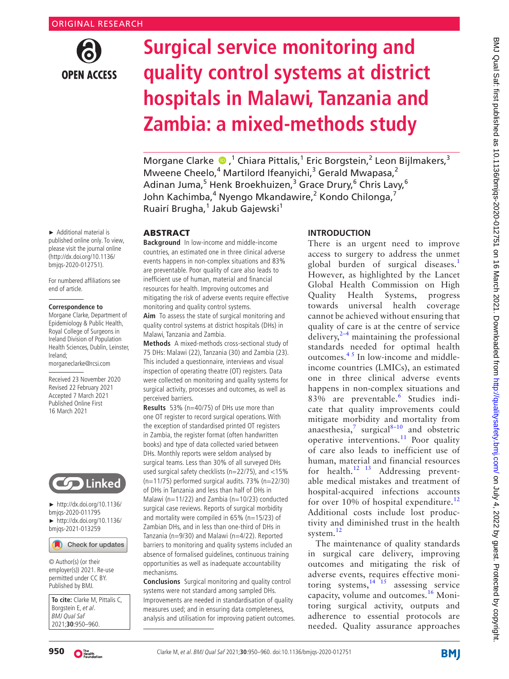

# **Surgical service monitoring and quality control systems at district hospitals in Malawi, Tanzania and Zambia: a mixed-methods study**

MorganeClarke  $\bullet$ ,<sup>1</sup> Chiara Pittalis,<sup>1</sup> Eric Borgstein,<sup>2</sup> Leon Bijlmakers,<sup>3</sup> Mweene Cheelo,<sup>4</sup> Martilord Ifeanyichi,<sup>3</sup> Gerald Mwapasa,<sup>2</sup> Adinan Juma,<sup>5</sup> Henk Broekhuizen,<sup>3</sup> Grace Drury,<sup>6</sup> Chris Lavy,<sup>6</sup> John Kachimba,<sup>4</sup> Nyengo Mkandawire,<sup>2</sup> Kondo Chilonga,<sup>7</sup> Ruairí Brugha,<sup>1</sup> Jakub Gajewski<sup>1</sup>

## ABSTRACT

**Background** In low-income and middle-income countries, an estimated one in three clinical adverse events happens in non-complex situations and 83% are preventable. Poor quality of care also leads to inefficient use of human, material and financial resources for health. Improving outcomes and mitigating the risk of adverse events require effective monitoring and quality control systems.

**Aim** To assess the state of surgical monitoring and quality control systems at district hospitals (DHs) in Malawi, Tanzania and Zambia.

**Methods** A mixed-methods cross-sectional study of 75 DHs: Malawi (22), Tanzania (30) and Zambia (23). This included a questionnaire, interviews and visual inspection of operating theatre (OT) registers. Data were collected on monitoring and quality systems for surgical activity, processes and outcomes, as well as perceived barriers.

**Results** 53% (n=40/75) of DHs use more than one OT register to record surgical operations. With the exception of standardised printed OT registers in Zambia, the register format (often handwritten books) and type of data collected varied between DHs. Monthly reports were seldom analysed by surgical teams. Less than 30% of all surveyed DHs used surgical safety checklists (n=22/75), and <15% (n=11/75) performed surgical audits. 73% (n=22/30) of DHs in Tanzania and less than half of DHs in Malawi (n=11/22) and Zambia (n=10/23) conducted surgical case reviews. Reports of surgical morbidity and mortality were compiled in 65% (n=15/23) of Zambian DHs, and in less than one-third of DHs in Tanzania (n=9/30) and Malawi (n=4/22). Reported barriers to monitoring and quality systems included an absence of formalised guidelines, continuous training opportunities as well as inadequate accountability mechanisms.

**Conclusions** Surgical monitoring and quality control systems were not standard among sampled DHs. Improvements are needed in standardisation of quality measures used; and in ensuring data completeness, analysis and utilisation for improving patient outcomes.

## **INTRODUCTION**

There is an urgent need to improve access to surgery to address the unmet global burden of surgical diseases.<sup>[1](#page-8-0)</sup> However, as highlighted by the Lancet Global Health Commission on High Quality Health Systems, progress towards universal health coverage cannot be achieved without ensuring that quality of care is at the centre of service delivery, $2-4$  maintaining the professional standards needed for optimal health outcomes.<sup>45</sup> In low-income and middleincome countries (LMICs), an estimated one in three clinical adverse events happens in non-complex situations and 83% are preventable.<sup>[6](#page-8-3)</sup> Studies indicate that quality improvements could mitigate morbidity and mortality from anaesthesia,<sup>[7](#page-8-4)</sup> surgical<sup>8-10</sup> and obstetric operative interventions.<sup>[11](#page-8-6)</sup> Poor quality of care also leads to inefficient use of human, material and financial resources for health.<sup>12</sup> <sup>13</sup> Addressing preventable medical mistakes and treatment of hospital-acquired infections accounts for over 10% of hospital expenditure.<sup>[12](#page-8-7)</sup> Additional costs include lost productivity and diminished trust in the health system.<sup>[12](#page-8-7)</sup>

The maintenance of quality standards in surgical care delivery, improving outcomes and mitigating the risk of adverse events, requires effective monitoring systems,  $14\overline{15}$  assessing service capacity, volume and outcomes.[16](#page-8-9) Monitoring surgical activity, outputs and adherence to essential protocols are needed. Quality assurance approaches

► Additional material is published online only. To view, please visit the journal online (http://dx.doi.org/10.1136/ bmjqs-2020-012751).

For numbered affiliations see end of article.

#### **Correspondence to**

Morgane Clarke, Department of Epidemiology & Public Health, Royal College of Surgeons in Ireland Division of Population Health Sciences, Dublin, Leinster, Ireland; morganeclarke@rcsi.com

Received 23 November 2020 Revised 22 February 2021 Accepted 7 March 2021 Published Online First 16 March 2021



► [http://dx.doi.org/10.1136/](http://dx.doi.org/10.1136/bmjqs-2020-011795) [bmjqs-2020-011795](http://dx.doi.org/10.1136/bmjqs-2020-011795) ► [http://dx.doi.org/10.1136/](http://dx.doi.org/10.1136/bmjqs-2021-013259) [bmjqs-2021-013259](http://dx.doi.org/10.1136/bmjqs-2021-013259)

Check for updates

© Author(s) (or their employer(s)) 2021. Re-use permitted under CC BY. Published by BMJ.

**To cite:** Clarke M, Pittalis C, Borgstein E, et al. BMJ Qual Saf 2021;**30**:950–960.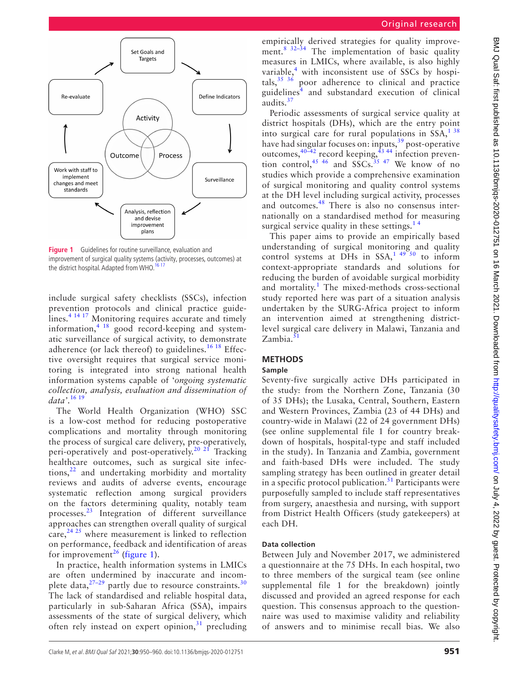



<span id="page-1-0"></span>**Figure 1** Guidelines for routine surveillance, evaluation and improvement of surgical quality systems (activity, processes, outcomes) at the district hospital. Adapted from WHO.<sup>16 17</sup>

include surgical safety checklists (SSCs), infection prevention protocols and clinical practice guidelines.<sup>4 14 17</sup> Monitoring requires accurate and timely information, $4 \frac{18}{9}$  good record-keeping and systematic surveillance of surgical activity, to demonstrate adherence (or lack thereof) to guidelines.<sup>[16 18](#page-8-9)</sup> Effective oversight requires that surgical service monitoring is integrated into strong national health information systems capable of '*ongoing systematic collection, analysis, evaluation and dissemination of data'*. [16 19](#page-8-9)

The World Health Organization (WHO) SSC is a low-cost method for reducing postoperative complications and mortality through monitoring the process of surgical care delivery, pre-operatively, peri-operatively and post-operatively.<sup>20 21</sup> Tracking healthcare outcomes, such as surgical site infections, $^{22}$  $^{22}$  $^{22}$  and undertaking morbidity and mortality reviews and audits of adverse events, encourage systematic reflection among surgical providers on the factors determining quality, notably team processes.[23](#page-8-12) Integration of different surveillance approaches can strengthen overall quality of surgical care,  $24 \times 25$  where measurement is linked to reflection on performance, feedback and identification of areas for improvement<sup>26</sup> ([figure](#page-1-0) 1).

In practice, health information systems in LMICs are often undermined by inaccurate and incomplete data, $27-29$  partly due to resource constraints.<sup>30</sup> The lack of standardised and reliable hospital data, particularly in sub-Saharan Africa (SSA), impairs assessments of the state of surgical delivery, which often rely instead on expert opinion, $31$  precluding

empirically derived strategies for quality improvement.<sup>8</sup> <sup>32-34</sup> The implementation of basic quality measures in LMICs, where available, is also highly variable,<sup>[4](#page-8-2)</sup> with inconsistent use of SSCs by hospitals,  $35\frac{36}{10}$  poor adherence to clinical and practice guidelines<sup>[4](#page-8-2)</sup> and substandard execution of clinical audits.<sup>[37](#page-9-2)</sup>

Periodic assessments of surgical service quality at district hospitals (DHs), which are the entry point into surgical care for rural populations in  $SSA<sup>138</sup>$ have had singular focuses on: inputs,<sup>39</sup> post-operative outcomes,  $3^{40-42}$  record keeping,  $4^{3}$  44 infection prevention control,  $45 \frac{46}{10}$  and SSCs.  $35 \frac{47}{10}$  We know of no studies which provide a comprehensive examination of surgical monitoring and quality control systems at the DH level including surgical activity, processes and outcomes.[48](#page-9-7) There is also no consensus internationally on a standardised method for measuring surgical service quality in these settings.<sup>14</sup>

This paper aims to provide an empirically based understanding of surgical monitoring and quality control systems at DHs in  $SSA<sub>1</sub><sup>14950</sup>$  to inform context-appropriate standards and solutions for reducing the burden of avoidable surgical morbidity and mortality.<sup>[1](#page-8-0)</sup> The mixed-methods cross-sectional study reported here was part of a situation analysis undertaken by the SURG-Africa project to inform an intervention aimed at strengthening districtlevel surgical care delivery in Malawi, Tanzania and Zambia. $51$ 

## **METHODS**

## **Sample**

Seventy-five surgically active DHs participated in the study: from the Northern Zone, Tanzania (30 of 35 DHs); the Lusaka, Central, Southern, Eastern and Western Provinces, Zambia (23 of 44 DHs) and country-wide in Malawi (22 of 24 government DHs) (see [online supplemental file 1](https://dx.doi.org/10.1136/bmjqs-2020-012751) for country breakdown of hospitals, hospital-type and staff included in the study). In Tanzania and Zambia, government and faith-based DHs were included. The study sampling strategy has been outlined in greater detail in a specific protocol publication.<sup>51</sup> Participants were purposefully sampled to include staff representatives from surgery, anaesthesia and nursing, with support from District Health Officers (study gatekeepers) at each DH.

#### **Data collection**

Between July and November 2017, we administered a questionnaire at the 75 DHs. In each hospital, two to three members of the surgical team (see [online](https://dx.doi.org/10.1136/bmjqs-2020-012751) [supplemental file 1](https://dx.doi.org/10.1136/bmjqs-2020-012751) for the breakdown) jointly discussed and provided an agreed response for each question. This consensus approach to the questionnaire was used to maximise validity and reliability of answers and to minimise recall bias. We also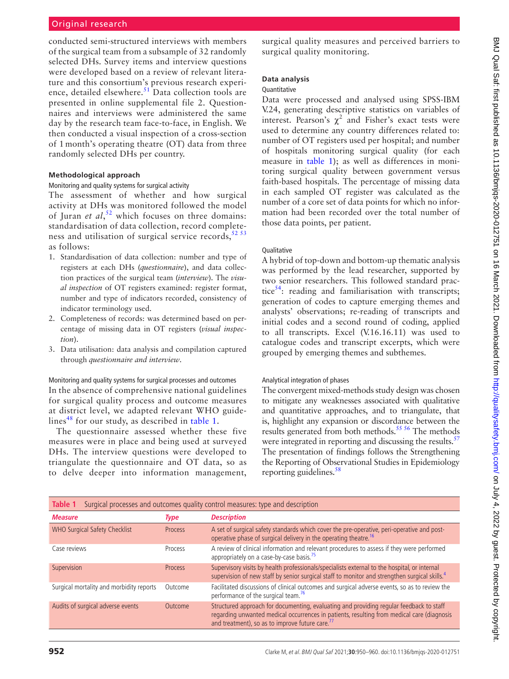conducted semi-structured interviews with members of the surgical team from a subsample of 32 randomly selected DHs. Survey items and interview questions were developed based on a review of relevant literature and this consortium's previous research experience, detailed elsewhere.<sup>51</sup> Data collection tools are presented in [online supplemental file 2](https://dx.doi.org/10.1136/bmjqs-2020-012751). Questionnaires and interviews were administered the same day by the research team face-to-face, in English. We then conducted a visual inspection of a cross-section of 1 month's operating theatre (OT) data from three randomly selected DHs per country.

#### **Methodological approach**

#### Monitoring and quality systems for surgical activity

The assessment of whether and how surgical activity at DHs was monitored followed the model of Juran *et al*, [52](#page-9-9) which focuses on three domains: standardisation of data collection, record completeness and utilisation of surgical service records,  $52 53$ as follows:

- 1. Standardisation of data collection: number and type of registers at each DHs (*questionnaire*), and data collection practices of the surgical team (*interview*). The *visual inspection* of OT registers examined: register format, number and type of indicators recorded, consistency of indicator terminology used.
- 2. Completeness of records: was determined based on percentage of missing data in OT registers (*visual inspection*).
- 3. Data utilisation: data analysis and compilation captured through *questionnaire and interview*.

Monitoring and quality systems for surgical processes and outcomes In the absence of comprehensive national guidelines for surgical quality process and outcome measures at district level, we adapted relevant WHO guidelines<sup>48</sup> for our study, as described in [table](#page-2-0) 1.

The questionnaire assessed whether these five measures were in place and being used at surveyed DHs. The interview questions were developed to triangulate the questionnaire and OT data, so as to delve deeper into information management, surgical quality measures and perceived barriers to surgical quality monitoring.

#### **Data analysis**

#### Quantitative

Data were processed and analysed using SPSS-IBM V.24, generating descriptive statistics on variables of interest. Pearson's  $\chi^2$  and Fisher's exact tests were used to determine any country differences related to: number of OT registers used per hospital; and number of hospitals monitoring surgical quality (for each measure in [table](#page-2-0) 1); as well as differences in monitoring surgical quality between government versus faith-based hospitals. The percentage of missing data in each sampled OT register was calculated as the number of a core set of data points for which no information had been recorded over the total number of those data points, per patient.

#### **Qualitative**

A hybrid of top-down and bottom-up thematic analysis was performed by the lead researcher, supported by two senior researchers. This followed standard prac-tice<sup>[54](#page-9-10)</sup>: reading and familiarisation with transcripts; generation of codes to capture emerging themes and analysts' observations; re-reading of transcripts and initial codes and a second round of coding, applied to all transcripts. Excel (V.16.16.11) was used to catalogue codes and transcript excerpts, which were grouped by emerging themes and subthemes.

#### Analytical integration of phases

The convergent mixed-methods study design was chosen to mitigate any weaknesses associated with qualitative and quantitative approaches, and to triangulate, that is, highlight any expansion or discordance between the results generated from both methods.<sup>55 56</sup> The methods were integrated in reporting and discussing the results.<sup>57</sup> The presentation of findings follows the Strengthening the Reporting of Observational Studies in Epidemiology reporting guidelines.<sup>58</sup>

<span id="page-2-0"></span>

| Surgical processes and outcomes quality control measures: type and description<br>Table 1 |                |                                                                                                                                                                                                                                                      |  |  |  |  |
|-------------------------------------------------------------------------------------------|----------------|------------------------------------------------------------------------------------------------------------------------------------------------------------------------------------------------------------------------------------------------------|--|--|--|--|
| <b>Measure</b>                                                                            | <b>Type</b>    | <b>Description</b>                                                                                                                                                                                                                                   |  |  |  |  |
| <b>WHO Surgical Safety Checklist</b>                                                      | <b>Process</b> | A set of surgical safety standards which cover the pre-operative, peri-operative and post-<br>operative phase of surgical delivery in the operating theatre. <sup>16</sup>                                                                           |  |  |  |  |
| Case reviews                                                                              | Process        | A review of clinical information and relevant procedures to assess if they were performed<br>appropriately on a case-by-case basis. <sup>75</sup>                                                                                                    |  |  |  |  |
| Supervision                                                                               | <b>Process</b> | Supervisory visits by health professionals/specialists external to the hospital, or internal<br>supervision of new staff by senior surgical staff to monitor and strengthen surgical skills. <sup>4</sup>                                            |  |  |  |  |
| Surgical mortality and morbidity reports                                                  | Outcome        | Facilitated discussions of clinical outcomes and surgical adverse events, so as to review the<br>performance of the surgical team. <sup>76</sup>                                                                                                     |  |  |  |  |
| Audits of surgical adverse events                                                         | Outcome        | Structured approach for documenting, evaluating and providing regular feedback to staff<br>regarding unwanted medical occurrences in patients, resulting from medical care (diagnosis<br>and treatment), so as to improve future care. <sup>77</sup> |  |  |  |  |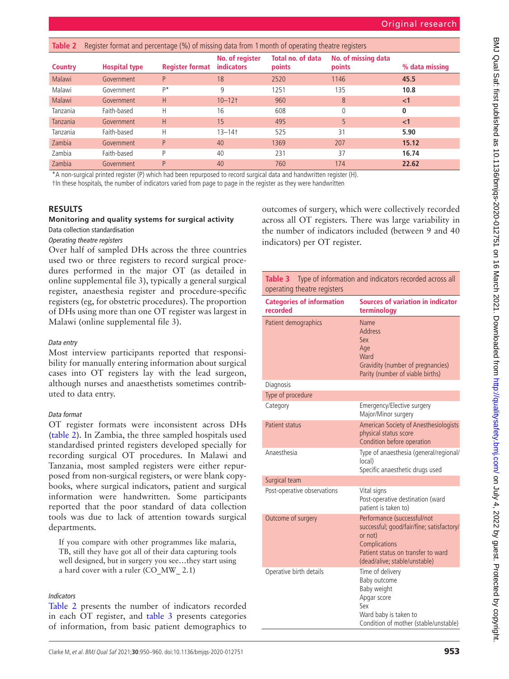<span id="page-3-0"></span>

| Table 2        | Register format and percentage (%) of missing data from 1 month of operating theatre registers |                        |                               |                             |                               |                |  |
|----------------|------------------------------------------------------------------------------------------------|------------------------|-------------------------------|-----------------------------|-------------------------------|----------------|--|
| <b>Country</b> | <b>Hospital type</b>                                                                           | <b>Register format</b> | No. of register<br>indicators | Total no. of data<br>points | No. of missing data<br>points | % data missing |  |
| Malawi         | Government                                                                                     | P                      | 18                            | 2520                        | 1146                          | 45.5           |  |
| Malawi         | Government                                                                                     | D*                     | 9                             | 1251                        | 135                           | 10.8           |  |
| Malawi         | Government                                                                                     | H                      | $10 - 12$ †                   | 960                         | 8                             | $<$ 1          |  |
| Tanzania       | Faith-based                                                                                    | Н                      | 16                            | 608                         | 0                             | 0              |  |
| Tanzania       | Government                                                                                     | H                      | 15                            | 495                         | 5                             | $\leq$ 1       |  |
| Tanzania       | Faith-based                                                                                    | Н                      | $13 - 14$                     | 525                         | 31                            | 5.90           |  |
| Zambia         | Government                                                                                     | P                      | 40                            | 1369                        | 207                           | 15.12          |  |
| Zambia         | Faith-based                                                                                    | D                      | 40                            | 231                         | 37                            | 16.74          |  |
| Zambia         | Government                                                                                     | P                      | 40                            | 760                         | 174                           | 22.62          |  |

\*A non-surgical printed register (P) which had been repurposed to record surgical data and handwritten register (H).

†In these hospitals, the number of indicators varied from page to page in the register as they were handwritten

## **RESULTS**

## **Monitoring and quality systems for surgical activity** Data collection standardisation

## *Operating theatre registers*

Over half of sampled DHs across the three countries used two or three registers to record surgical procedures performed in the major OT (as detailed in [online supplemental file 3\)](https://dx.doi.org/10.1136/bmjqs-2020-012751), typically a general surgical register, anaesthesia register and procedure-specific registers (eg, for obstetric procedures). The proportion of DHs using more than one OT register was largest in Malawi [\(online supplemental file 3\)](https://dx.doi.org/10.1136/bmjqs-2020-012751).

#### *Data entry*

Most interview participants reported that responsibility for manually entering information about surgical cases into OT registers lay with the lead surgeon, although nurses and anaesthetists sometimes contributed to data entry.

## *Data format*

OT register formats were inconsistent across DHs [\(table](#page-3-0) 2). In Zambia, the three sampled hospitals used standardised printed registers developed specially for recording surgical OT procedures. In Malawi and Tanzania, most sampled registers were either repurposed from non-surgical registers, or were blank copybooks, where surgical indicators, patient and surgical information were handwritten. Some participants reported that the poor standard of data collection tools was due to lack of attention towards surgical departments.

If you compare with other programmes like malaria, TB, still they have got all of their data capturing tools well designed, but in surgery you see…they start using a hard cover with a ruler (CO\_MW\_ 2.1)

## *Indicators*

[Table](#page-3-0) 2 presents the number of indicators recorded in each OT register, and [table](#page-3-1) 3 presents categories of information, from basic patient demographics to

Type of procedure Category **Emergency/Elective surgery** Major/Minor surgery

indicators) per OT register.

operating theatre registers **Categories of information** 

Patient demographics Name

**recorded**

Diagnosis

|                             | Major/Minor surgery                                                                                                                                                         |
|-----------------------------|-----------------------------------------------------------------------------------------------------------------------------------------------------------------------------|
| Patient status              | American Society of Anesthesiologists<br>physical status score<br>Condition before operation                                                                                |
| Anaesthesia                 | Type of anaesthesia (general/regional/<br>local)<br>Specific anaesthetic drugs used                                                                                         |
| Surgical team               |                                                                                                                                                                             |
| Post-operative observations | Vital signs<br>Post-operative destination (ward<br>patient is taken to)                                                                                                     |
| Outcome of surgery          | Performance (successful/not<br>successful; good/fair/fine; satisfactory/<br>or not)<br>Complications<br>Patient status on transfer to ward<br>(dead/alive; stable/unstable) |
| Operative birth details     | Time of delivery<br>Baby outcome<br>Baby weight<br>Apgar score<br>Sex<br>Ward baby is taken to<br>Condition of mother (stable/unstable)                                     |

outcomes of surgery, which were collectively recorded across all OT registers. There was large variability in the number of indicators included (between 9 and 40

<span id="page-3-1"></span>**Table 3** Type of information and indicators recorded across all

**terminology**

Address Sex Age **Ward** 

**Sources of variation in indicator** 

Gravidity (number of pregnancies) Parity (number of viable births)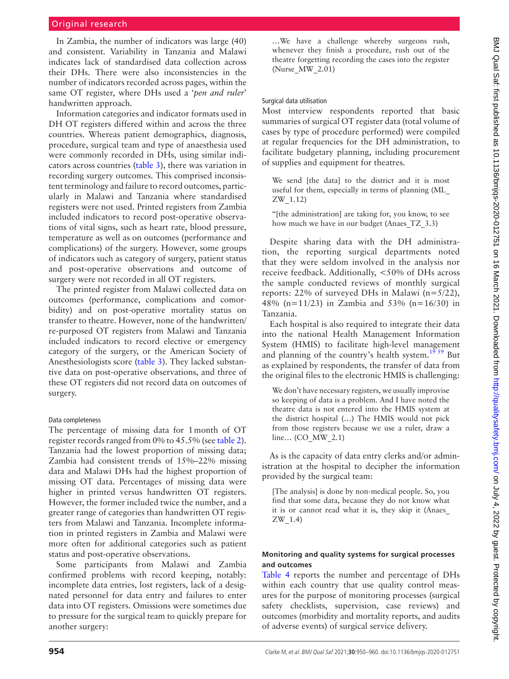In Zambia, the number of indicators was large (40) and consistent. Variability in Tanzania and Malawi indicates lack of standardised data collection across their DHs. There were also inconsistencies in the number of indicators recorded across pages, within the same OT register, where DHs used a '*pen and ruler*' handwritten approach.

Information categories and indicator formats used in DH OT registers differed within and across the three countries. Whereas patient demographics, diagnosis, procedure, surgical team and type of anaesthesia used were commonly recorded in DHs, using similar indicators across countries ([table](#page-3-1) 3), there was variation in recording surgery outcomes. This comprised inconsistent terminology and failure to record outcomes, particularly in Malawi and Tanzania where standardised registers were not used. Printed registers from Zambia included indicators to record post-operative observations of vital signs, such as heart rate, blood pressure, temperature as well as on outcomes (performance and complications) of the surgery. However, some groups of indicators such as category of surgery, patient status and post-operative observations and outcome of surgery were not recorded in all OT registers.

The printed register from Malawi collected data on outcomes (performance, complications and comorbidity) and on post-operative mortality status on transfer to theatre. However, none of the handwritten/ re-purposed OT registers from Malawi and Tanzania included indicators to record elective or emergency category of the surgery, or the American Society of Anesthesiologists score ([table](#page-3-1) 3). They lacked substantive data on post-operative observations, and three of these OT registers did not record data on outcomes of surgery.

#### Data completeness

The percentage of missing data for 1month of OT register records ranged from 0% to 45.5% (see [table](#page-3-0) 2). Tanzania had the lowest proportion of missing data; Zambia had consistent trends of 15%–22% missing data and Malawi DHs had the highest proportion of missing OT data. Percentages of missing data were higher in printed versus handwritten OT registers. However, the former included twice the number, and a greater range of categories than handwritten OT registers from Malawi and Tanzania. Incomplete information in printed registers in Zambia and Malawi were more often for additional categories such as patient status and post-operative observations.

Some participants from Malawi and Zambia confirmed problems with record keeping, notably: incomplete data entries, lost registers, lack of a designated personnel for data entry and failures to enter data into OT registers. Omissions were sometimes due to pressure for the surgical team to quickly prepare for another surgery:

…We have a challenge whereby surgeons rush, whenever they finish a procedure, rush out of the theatre forgetting recording the cases into the register (Nurse\_MW\_2.01)

#### Surgical data utilisation

Most interview respondents reported that basic summaries of surgical OT register data (total volume of cases by type of procedure performed) were compiled at regular frequencies for the DH administration, to facilitate budgetary planning, including procurement of supplies and equipment for theatres.

We send [the data] to the district and it is most useful for them, especially in terms of planning (ML\_ ZW\_1.12)

"[the administration] are taking for, you know, to see how much we have in our budget (Anaes TZ 3.3)

Despite sharing data with the DH administration, the reporting surgical departments noted that they were seldom involved in the analysis nor receive feedback. Additionally, <50% of DHs across the sample conducted reviews of monthly surgical reports: 22% of surveyed DHs in Malawi (n=5/22), 48% (n=11/23) in Zambia and 53% (n=16/30) in Tanzania.

Each hospital is also required to integrate their data into the national Health Management Information System (HMIS) to facilitate high-level management and planning of the country's health system.<sup>19 59</sup> But as explained by respondents, the transfer of data from the original files to the electronic HMIS is challenging:

We don't have necessary registers, we usually improvise so keeping of data is a problem. And I have noted the theatre data is not entered into the HMIS system at the district hospital (…) The HMIS would not pick from those registers because we use a ruler, draw a line… (CO\_MW\_2.1)

As is the capacity of data entry clerks and/or administration at the hospital to decipher the information provided by the surgical team:

[The analysis] is done by non-medical people. So, you find that some data, because they do not know what it is or cannot read what it is, they skip it (Anaes\_ ZW\_1.4)

#### **Monitoring and quality systems for surgical processes and outcomes**

[Table](#page-5-0) 4 reports the number and percentage of DHs within each country that use quality control measures for the purpose of monitoring processes (surgical safety checklists, supervision, case reviews) and outcomes (morbidity and mortality reports, and audits of adverse events) of surgical service delivery.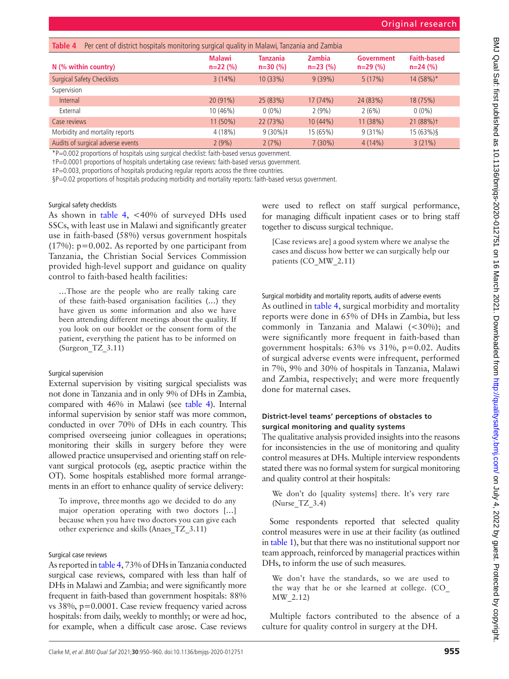<span id="page-5-0"></span>

| Per cent of district hospitals monitoring surgical quality in Malawi, Tanzania and Zambia<br>Table 4 |                            |                              |                      |                                |                                  |  |  |  |  |
|------------------------------------------------------------------------------------------------------|----------------------------|------------------------------|----------------------|--------------------------------|----------------------------------|--|--|--|--|
| N (% within country)                                                                                 | <b>Malawi</b><br>$n=22(%)$ | <b>Tanzania</b><br>$n=30(%)$ | Zambia<br>$n=23$ (%) | <b>Government</b><br>$n=29(%)$ | <b>Faith-based</b><br>$n=24$ (%) |  |  |  |  |
| <b>Surgical Safety Checklists</b>                                                                    | 3(14%)                     | 10(33%)                      | 9(39%)               | 5(17%)                         | $14(58\%)*$                      |  |  |  |  |
| Supervision                                                                                          |                            |                              |                      |                                |                                  |  |  |  |  |
| Internal                                                                                             | 20 (91%)                   | 25 (83%)                     | 17 (74%)             | 24 (83%)                       | 18 (75%)                         |  |  |  |  |
| External                                                                                             | 10 (46%)                   | $0(0\%)$                     | 2(9%)                | 2(6%)                          | $0(0\%)$                         |  |  |  |  |
| Case reviews                                                                                         | $11(50\%)$                 | 22 (73%)                     | 10 (44%)             | 11 (38%)                       | 21 (88%)+                        |  |  |  |  |
| Morbidity and mortality reports                                                                      | 4(18%)                     | $9(30\%)\ddagger$            | 15 (65%)             | $9(31\%)$                      | 15(63%)                          |  |  |  |  |
| Audits of surgical adverse events                                                                    | 2(9%)                      | 2(7%)                        | $7(30\%)$            | $4(14\%)$                      | 3(21%)                           |  |  |  |  |

\*P=0.002 proportions of hospitals using surgical checklist: faith-based versus government.

†P=0.0001 proportions of hospitals undertaking case reviews: faith-based versus government.

‡P=0.003, proportions of hospitals producing regular reports across the three countries.

§P=0.02 proportions of hospitals producing morbidity and mortality reports: faith-based versus government.

Surgical safety checklists

As shown in [table](#page-5-0) 4, <40% of surveyed DHs used SSCs, with least use in Malawi and significantly greater use in faith-based (58%) versus government hospitals (17%): p=0.002. As reported by one participant from Tanzania, the Christian Social Services Commission provided high-level support and guidance on quality control to faith-based health facilities:

…Those are the people who are really taking care of these faith-based organisation facilities (…) they have given us some information and also we have been attending different meetings about the quality. If you look on our booklet or the consent form of the patient, everything the patient has to be informed on (Surgeon\_TZ\_3.11)

## Surgical supervision

External supervision by visiting surgical specialists was not done in Tanzania and in only 9% of DHs in Zambia, compared with 46% in Malawi (see [table](#page-5-0) 4). Internal informal supervision by senior staff was more common, conducted in over 70% of DHs in each country. This comprised overseeing junior colleagues in operations; monitoring their skills in surgery before they were allowed practice unsupervised and orienting staff on relevant surgical protocols (eg, aseptic practice within the OT). Some hospitals established more formal arrangements in an effort to enhance quality of service delivery:

To improve, threemonths ago we decided to do any major operation operating with two doctors […] because when you have two doctors you can give each other experience and skills (Anaes\_TZ\_3.11)

Surgical case reviews

As reported in [table](#page-5-0) 4, 73% of DHs in Tanzania conducted surgical case reviews, compared with less than half of DHs in Malawi and Zambia; and were significantly more frequent in faith-based than government hospitals: 88% vs 38%, p=0.0001. Case review frequency varied across hospitals: from daily, weekly to monthly; or were ad hoc, for example, when a difficult case arose. Case reviews were used to reflect on staff surgical performance, for managing difficult inpatient cases or to bring staff together to discuss surgical technique.

[Case reviews are] a good system where we analyse the cases and discuss how better we can surgically help our patients (CO\_MW\_2.11)

Surgical morbidity and mortality reports, audits of adverse events

As outlined in [table](#page-5-0) 4, surgical morbidity and mortality reports were done in 65% of DHs in Zambia, but less commonly in Tanzania and Malawi (<30%); and were significantly more frequent in faith-based than government hospitals: 63% vs 31%, p=0.02. Audits of surgical adverse events were infrequent, performed in 7%, 9% and 30% of hospitals in Tanzania, Malawi and Zambia, respectively; and were more frequently done for maternal cases.

## **District-level teams' perceptions of obstacles to surgical monitoring and quality systems**

The qualitative analysis provided insights into the reasons for inconsistencies in the use of monitoring and quality control measures at DHs. Multiple interview respondents stated there was no formal system for surgical monitoring and quality control at their hospitals:

We don't do [quality systems] there. It's very rare (Nurse\_TZ\_3.4)

Some respondents reported that selected quality control measures were in use at their facility (as outlined in [table](#page-2-0) 1), but that there was no institutional support nor team approach, reinforced by managerial practices within DHs, to inform the use of such measures.

We don't have the standards, so we are used to the way that he or she learned at college. (CO\_ MW\_2.12)

Multiple factors contributed to the absence of a culture for quality control in surgery at the DH.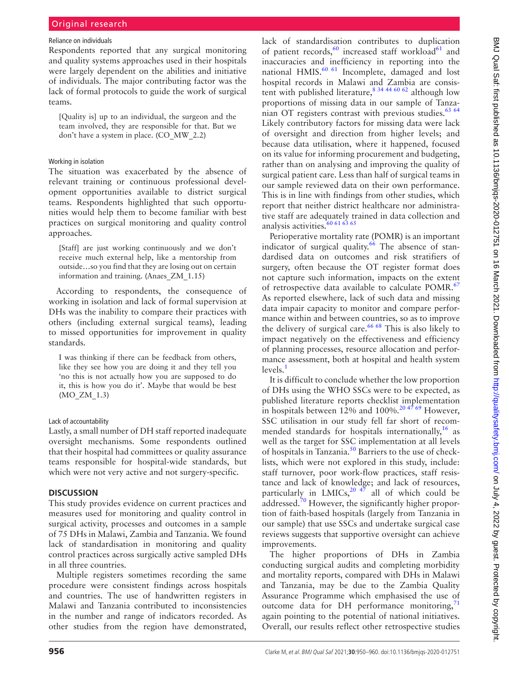#### Reliance on individuals

Respondents reported that any surgical monitoring and quality systems approaches used in their hospitals were largely dependent on the abilities and initiative of individuals. The major contributing factor was the lack of formal protocols to guide the work of surgical teams.

[Quality is] up to an individual, the surgeon and the team involved, they are responsible for that. But we don't have a system in place. (CO\_MW\_2.2)

#### Working in isolation

The situation was exacerbated by the absence of relevant training or continuous professional development opportunities available to district surgical teams. Respondents highlighted that such opportunities would help them to become familiar with best practices on surgical monitoring and quality control approaches.

[Staff] are just working continuously and we don't receive much external help, like a mentorship from outside…so you find that they are losing out on certain information and training. (Anaes\_ZM\_1.15)

According to respondents, the consequence of working in isolation and lack of formal supervision at DHs was the inability to compare their practices with others (including external surgical teams), leading to missed opportunities for improvement in quality standards.

I was thinking if there can be feedback from others, like they see how you are doing it and they tell you 'no this is not actually how you are supposed to do it, this is how you do it'. Maybe that would be best (MO\_ZM\_1.3)

#### Lack of accountability

Lastly, a small number of DH staff reported inadequate oversight mechanisms. Some respondents outlined that their hospital had committees or quality assurance teams responsible for hospital-wide standards, but which were not very active and not surgery-specific.

#### **DISCUSSION**

This study provides evidence on current practices and measures used for monitoring and quality control in surgical activity, processes and outcomes in a sample of 75 DHs in Malawi, Zambia and Tanzania. We found lack of standardisation in monitoring and quality control practices across surgically active sampled DHs in all three countries.

Multiple registers sometimes recording the same procedure were consistent findings across hospitals and countries. The use of handwritten registers in Malawi and Tanzania contributed to inconsistencies in the number and range of indicators recorded. As other studies from the region have demonstrated,

lack of standardisation contributes to duplication of patient records,<sup>60</sup> increased staff workload<sup>61</sup> and inaccuracies and inefficiency in reporting into the national HMIS.<sup>[60 61](#page-9-14)</sup> Incomplete, damaged and lost hospital records in Malawi and Zambia are consistent with published literature,  $8^{34}$  44  $60^{62}$  although low proportions of missing data in our sample of Tanza-nian OT registers contrast with previous studies.<sup>[63 64](#page-9-16)</sup> Likely contributory factors for missing data were lack of oversight and direction from higher levels; and because data utilisation, where it happened, focused on its value for informing procurement and budgeting, rather than on analysing and improving the quality of surgical patient care. Less than half of surgical teams in our sample reviewed data on their own performance. This is in line with findings from other studies, which report that neither district healthcare nor administrative staff are adequately trained in data collection and analysis activities. $60\,61\,63\,65$ 

Perioperative mortality rate (POMR) is an important indicator of surgical quality.<sup>66</sup> The absence of standardised data on outcomes and risk stratifiers of surgery, often because the OT register format does not capture such information, impacts on the extent of retrospective data available to calculate POMR.<sup>[67](#page-10-3)</sup> As reported elsewhere, lack of such data and missing data impair capacity to monitor and compare performance within and between countries, so as to improve the delivery of surgical care.<sup>66 68</sup> This is also likely to impact negatively on the effectiveness and efficiency of planning processes, resource allocation and performance assessment, both at hospital and health system  $levels<sup>1</sup>$  $levels<sup>1</sup>$  $levels<sup>1</sup>$ 

It is difficult to conclude whether the low proportion of DHs using the WHO SSCs were to be expected, as published literature reports checklist implementation in hospitals between  $12\%$  and  $100\%$ .<sup>204769</sup> However, SSC utilisation in our study fell far short of recommended standards for hospitals internationally, $16$  as well as the target for SSC implementation at all levels of hospitals in Tanzania.<sup>50</sup> Barriers to the use of checklists, which were not explored in this study, include: staff turnover, poor work-flow practices, staff resistance and lack of knowledge; and lack of resources, particularly in LMICs,<sup>20 47</sup> all of which could be addressed. $70$  However, the significantly higher proportion of faith-based hospitals (largely from Tanzania in our sample) that use SSCs and undertake surgical case reviews suggests that supportive oversight can achieve improvements.

The higher proportions of DHs in Zambia conducting surgical audits and completing morbidity and mortality reports, compared with DHs in Malawi and Tanzania, may be due to the Zambia Quality Assurance Programme which emphasised the use of outcome data for DH performance monitoring,<sup>[71](#page-10-5)</sup> again pointing to the potential of national initiatives. Overall, our results reflect other retrospective studies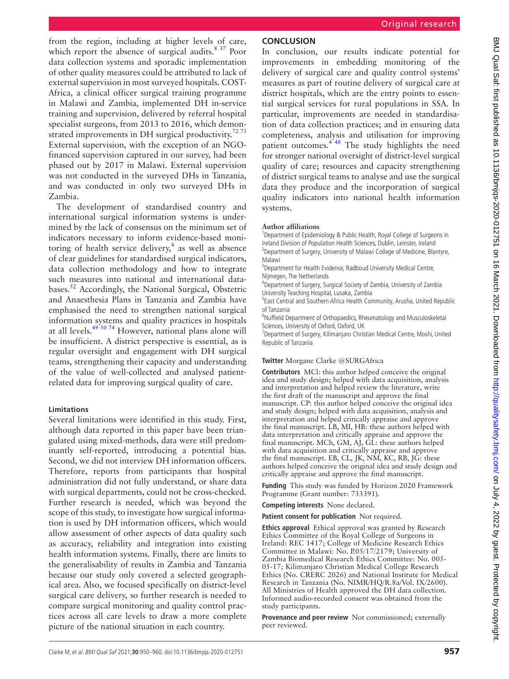from the region, including at higher levels of care, which report the absence of surgical audits.<sup>[8 37](#page-8-5)</sup> Poor data collection systems and sporadic implementation of other quality measures could be attributed to lack of external supervision in most surveyed hospitals. COST-Africa, a clinical officer surgical training programme in Malawi and Zambia, implemented DH in-service training and supervision, delivered by referral hospital specialist surgeons, from 2013 to 2016, which demonstrated improvements in DH surgical productivity.<sup>7273</sup> External supervision, with the exception of an NGOfinanced supervision captured in our survey, had been phased out by 2017 in Malawi. External supervision was not conducted in the surveyed DHs in Tanzania, and was conducted in only two surveyed DHs in Zambia.

The development of standardised country and international surgical information systems is undermined by the lack of consensus on the minimum set of indicators necessary to inform evidence-based monitoring of health service delivery,<sup>4</sup> as well as absence of clear guidelines for standardised surgical indicators, data collection methodology and how to integrate such measures into national and international data-bases.<sup>[52](#page-9-9)</sup> Accordingly, the National Surgical, Obstetric and Anaesthesia Plans in Tanzania and Zambia have emphasised the need to strengthen national surgical information systems and quality practices in hospitals at all levels. $495074$  However, national plans alone will be insufficient. A district perspective is essential, as is regular oversight and engagement with DH surgical teams, strengthening their capacity and understanding of the value of well-collected and analysed patientrelated data for improving surgical quality of care.

# **Limitations**

Several limitations were identified in this study. First, although data reported in this paper have been triangulated using mixed-methods, data were still predominantly self-reported, introducing a potential bias. Second, we did not interview DH information officers. Therefore, reports from participants that hospital administration did not fully understand, or share data with surgical departments, could not be cross-checked. Further research is needed, which was beyond the scope of this study, to investigate how surgical information is used by DH information officers, which would allow assessment of other aspects of data quality such as accuracy, reliability and integration into existing health information systems. Finally, there are limits to the generalisability of results in Zambia and Tanzania because our study only covered a selected geographical area. Also, we focused specifically on district-level surgical care delivery, so further research is needed to compare surgical monitoring and quality control practices across all care levels to draw a more complete picture of the national situation in each country.

# **CONCLUSION**

In conclusion, our results indicate potential for improvements in embedding monitoring of the delivery of surgical care and quality control systems' measures as part of routine delivery of surgical care at district hospitals, which are the entry points to essential surgical services for rural populations in SSA. In particular, improvements are needed in standardisation of data collection practices; and in ensuring data completeness, analysis and utilisation for improving patient outcomes. $4\overline{48}$  The study highlights the need for stronger national oversight of district-level surgical quality of care; resources and capacity strengthening of district surgical teams to analyse and use the surgical data they produce and the incorporation of surgical quality indicators into national health information systems.

## **Author affiliations**

<sup>1</sup>Department of Epidemiology & Public Health, Royal College of Surgeons in Ireland Division of Population Health Sciences, Dublin, Leinster, Ireland <sup>2</sup> Department of Surgery, University of Malawi College of Medicine, Blantyre, Malawi

<sup>3</sup>Department for Health Evidence, Radboud University Medical Centre, Nijmegen, The Netherlands

4 Department of Surgery, Surgical Society of Zambia, University of Zambia University Teaching Hospital, Lusaka, Zambia

5 East Central and Southern Africa Health Community, Arusha, United Republic of Tanzania

<sup>6</sup>Nuffield Department of Orthopaedics, Rheumatology and Musculoskeletal Sciences, University of Oxford, Oxford, UK

<sup>7</sup>Department of Surgery, Kilimanjaro Christian Medical Centre, Moshi, United Republic of Tanzania

## **Twitter** Morgane Clarke [@SURGAfrica](https://twitter.com/SURGAfrica)

**Contributors** MCl: this author helped conceive the original idea and study design; helped with data acquisition, analysis and interpretation and helped review the literature, write the first draft of the manuscript and approve the final manuscript. CP: this author helped conceive the original idea and study design; helped with data acquisition, analysis and interpretation and helped critically appraise and approve the final manuscript. LB, MI, HB: these authors helped with data interpretation and critically appraise and approve the final manuscript. MCh, GM, AJ, GL: these authors helped with data acquisition and critically appraise and approve the final manuscript. EB, CL, JK, NM, KC, RB, JG: these authors helped conceive the original idea and study design and critically appraise and approve the final manuscript.

**Funding** This study was funded by Horizon 2020 Framework Programme (Grant number: 733391).

**Competing interests** None declared.

**Patient consent for publication** Not required.

**Ethics approval** Ethical approval was granted by Research Ethics Committee of the Royal College of Surgeons in Ireland: REC 1417; College of Medicine Research Ethics Committee in Malawi: No. P.05/17/2179; University of Zambia Biomedical Research Ethics Committee: No. 005- 05-17; Kilimanjaro Christian Medical College Research Ethics (No. CRERC 2026) and National Institute for Medical Research in Tanzania (No. NIMR/HQ/R.8a/Vol. IX/2600). All Ministries of Health approved the DH data collection. Informed audio-recorded consent was obtained from the study participants.

**Provenance and peer review** Not commissioned; externally peer reviewed.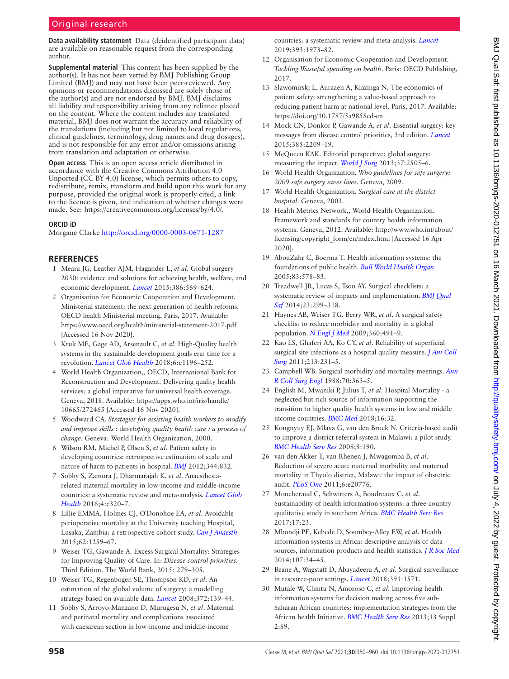**Data availability statement** Data (deidentified participant data) are available on reasonable request from the corresponding author.

**Supplemental material** This content has been supplied by the author(s). It has not been vetted by BMJ Publishing Group Limited (BMJ) and may not have been peer-reviewed. Any opinions or recommendations discussed are solely those of the author(s) and are not endorsed by BMJ. BMJ disclaims all liability and responsibility arising from any reliance placed on the content. Where the content includes any translated material, BMJ does not warrant the accuracy and reliability of the translations (including but not limited to local regulations, clinical guidelines, terminology, drug names and drug dosages), and is not responsible for any error and/or omissions arising from translation and adaptation or otherwise.

**Open access** This is an open access article distributed in accordance with the Creative Commons Attribution 4.0 Unported (CC BY 4.0) license, which permits others to copy, redistribute, remix, transform and build upon this work for any purpose, provided the original work is properly cited, a link to the licence is given, and indication of whether changes were made. See: [https://creativecommons.org/licenses/by/4.0/.](https://creativecommons.org/licenses/by/4.0/)

#### **ORCID iD**

Morgane Clarke<http://orcid.org/0000-0003-0671-1287>

#### **REFERENCES**

- <span id="page-8-0"></span>1 Meara JG, Leather AJM, Hagander L, *et al*. Global surgery 2030: evidence and solutions for achieving health, welfare, and economic development. *[Lancet](http://dx.doi.org/10.1016/S0140-6736(15)60160-X)* 2015;386:569–624.
- <span id="page-8-1"></span>2 Organisation for Economic Cooperation and Development. Ministerial statement: the next generation of health reforms. OECD health Ministerial meeting, Paris, 2017. Available: <https://www.oecd.org/health/ministerial-statement-2017.pdf> [Accessed 16 Nov 2020].
- 3 Kruk ME, Gage AD, Arsenault C, *et al*. High-Quality health systems in the sustainable development goals era: time for a revolution. *[Lancet Glob Health](http://dx.doi.org/10.1016/S2214-109X(18)30386-3)* 2018;6:e1196–252.
- <span id="page-8-2"></span>4 World Health Organization,, OECD, International Bank for Reconstruction and Development. Delivering quality health services: a global imperative for universal health coverage. Geneva, 2018. Available: [https://apps.who.int/iris/handle/](https://apps.who.int/iris/handle/10665/272465) [10665/272465](https://apps.who.int/iris/handle/10665/272465) [Accessed 16 Nov 2020].
- 5 Woodward CA. *Strategies for assisting health workers to modify and improve skills : developing quality health care : a process of change*. Geneva: World Health Organization, 2000.
- <span id="page-8-3"></span>6 Wilson RM, Michel P, Olsen S, *et al*. Patient safety in developing countries: retrospective estimation of scale and nature of harm to patients in hospital. *[BMJ](http://dx.doi.org/10.1136/bmj.e832)* 2012;344:832.
- <span id="page-8-4"></span>7 Sobhy S, Zamora J, Dharmarajah K, *et al*. Anaesthesiarelated maternal mortality in low-income and middle-income countries: a systematic review and meta-analysis. *[Lancet Glob](http://dx.doi.org/10.1016/S2214-109X(16)30003-1)  [Health](http://dx.doi.org/10.1016/S2214-109X(16)30003-1)* 2016;4:e320–7.
- <span id="page-8-5"></span>8 Lillie EMMA, Holmes CJ, O'Donohoe EA, *et al*. Avoidable perioperative mortality at the University teaching Hospital, Lusaka, Zambia: a retrospective cohort study. *[Can J Anaesth](http://dx.doi.org/10.1007/s12630-015-0483-z)* 2015;62:1259–67.
- 9 Weiser TG, Gawande A. Excess Surgical Mortality: Strategies for Improving Quality of Care. In: *Disease control priorities*. Third Edition. The World Bank, 2015: 279–305.
- 10 Weiser TG, Regenbogen SE, Thompson KD, *et al*. An estimation of the global volume of surgery: a modelling strategy based on available data. *[Lancet](http://dx.doi.org/10.1016/S0140-6736(08)60878-8)* 2008;372:139–44.
- <span id="page-8-6"></span>11 Sobhy S, Arroyo-Manzano D, Murugesu N, *et al*. Maternal and perinatal mortality and complications associated with caesarean section in low-income and middle-income

countries: a systematic review and meta-analysis. *[Lancet](http://dx.doi.org/10.1016/S0140-6736(18)32386-9)* 2019;393:1973–82.

- <span id="page-8-7"></span>12 Organisation for Economic Cooperation and Development. *Tackling Wasteful spending on health*. Paris: OECD Publishing, 2017.
- 13 Slawomirski L, Auraaen A, Klazinga N. The economics of patient safety: strengthening a value-based approach to reducing patient harm at national level. Paris, 2017. Available: <https://doi.org/10.1787/5a9858cd-en>
- <span id="page-8-8"></span>14 Mock CN, Donkor P, Gawande A, *et al*. Essential surgery: key messages from disease control priorities, 3rd edition. *[Lancet](http://dx.doi.org/10.1016/S0140-6736(15)60091-5)* 2015;385:2209–19.
- 15 McQueen KAK. Editorial perspective: global surgery: measuring the impact. *[World J Surg](http://dx.doi.org/10.1007/s00268-013-2198-z)* 2013;37:2505–6.
- <span id="page-8-9"></span>16 World Health Organization. *Who guidelines for safe surgery: 2009 safe surgery saves lives*. Geneva, 2009.
- 17 World Health Organization. *Surgical care at the district hospital*. Geneva, 2003.
- 18 Health Metrics Network,, World Health Organization. Framework and standards for country health information systems. Geneva, 2012. Available: [http://www.who.int/about/](http://www.who.int/about/licensing/copyright_form/en/index.html) [licensing/copyright\\_form/en/index.html](http://www.who.int/about/licensing/copyright_form/en/index.html) [Accessed 16 Apr 2020].
- <span id="page-8-17"></span>19 AbouZahr C, Boerma T. Health information systems: the foundations of public health. *[Bull World Health Organ](http://dx.doi.org//S0042-96862005000800010)* 2005;83:578–83.
- <span id="page-8-10"></span>20 Treadwell JR, Lucas S, Tsou AY. Surgical checklists: a systematic review of impacts and implementation. *[BMJ Qual](http://dx.doi.org/10.1136/bmjqs-2012-001797)  [Saf](http://dx.doi.org/10.1136/bmjqs-2012-001797)* 2014;23:299–318.
- 21 Haynes AB, Weiser TG, Berry WR, *et al*. A surgical safety checklist to reduce morbidity and mortality in a global population. *[N Engl J Med](http://dx.doi.org/10.1056/NEJMsa0810119)* 2009;360:491–9.
- <span id="page-8-11"></span>22 Kao LS, Ghaferi AA, Ko CY, *et al*. Reliability of superficial surgical site infections as a hospital quality measure. *[J Am Coll](http://dx.doi.org/10.1016/j.jamcollsurg.2011.04.004)  [Surg](http://dx.doi.org/10.1016/j.jamcollsurg.2011.04.004)* 2011;213:231–5.
- <span id="page-8-12"></span>23 Campbell WB. Surgical morbidity and mortality meetings. *[Ann](http://www.ncbi.nlm.nih.gov/pubmed/3207327)  [R Coll Surg Engl](http://www.ncbi.nlm.nih.gov/pubmed/3207327)* 1988;70:363–5.
- <span id="page-8-13"></span>24 English M, Mwaniki P, Julius T, *et al*. Hospital Mortality - a neglected but rich source of information supporting the transition to higher quality health systems in low and middle income countries. *[BMC Med](http://dx.doi.org/10.1186/s12916-018-1024-8)* 2018;16:32.
- 25 Kongnyuy EJ, Mlava G, van den Broek N. Criteria-based audit to improve a district referral system in Malawi: a pilot study. *[BMC Health Serv Res](http://dx.doi.org/10.1186/1472-6963-8-190)* 2008;8:190.
- <span id="page-8-14"></span>26 van den Akker T, van Rhenen J, Mwagomba B, *et al*. Reduction of severe acute maternal morbidity and maternal mortality in Thyolo district, Malawi: the impact of obstetric audit. *[PLoS One](http://dx.doi.org/10.1371/journal.pone.0020776)* 2011;6:e20776.
- <span id="page-8-15"></span>27 Moucheraud C, Schwitters A, Boudreaux C, *et al*. Sustainability of health information systems: a three-country qualitative study in southern Africa. *[BMC Health Serv Res](http://dx.doi.org/10.1186/s12913-016-1971-8)* 2017;17:23.
- 28 Mbondji PE, Kebede D, Soumbey-Alley EW, *et al*. Health information systems in Africa: descriptive analysis of data sources, information products and health statistics. *[J R Soc Med](http://dx.doi.org/10.1177/0141076814531750)* 2014;107:34–45.
- 29 Beane A, Wagstaff D, Abayadeera A, *et al*. Surgical surveillance in resource-poor settings. *[Lancet](http://dx.doi.org/10.1016/S0140-6736(18)30498-7)* 2018;391:1571.
- <span id="page-8-16"></span>30 Mutale W, Chintu N, Amoroso C, *et al*. Improving health information systems for decision making across five sub-Saharan African countries: implementation strategies from the African health Initiative. *[BMC Health Serv Res](http://dx.doi.org/10.1186/1472-6963-13-S2-S9)* 2013;13 Suppl 2:S9.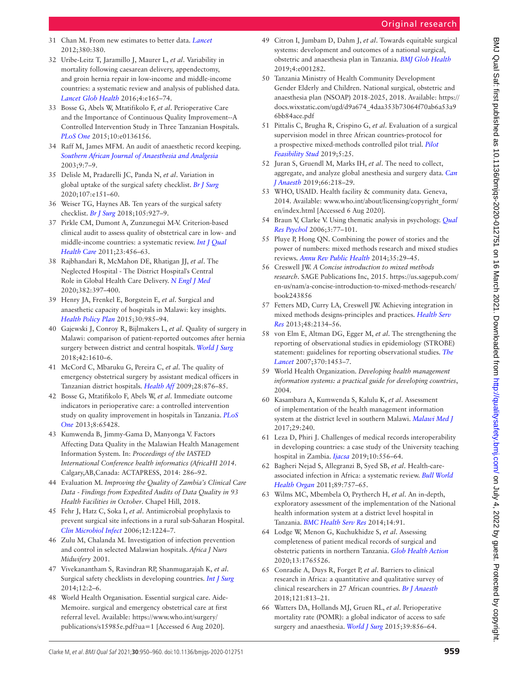- <span id="page-9-0"></span>31 Chan M. From new estimates to better data. *[Lancet](http://dx.doi.org/10.1016/S0140-6736(12)62135-7)* 2012;380:380.
- 32 Uribe-Leitz T, Jaramillo J, Maurer L, *et al*. Variability in mortality following caesarean delivery, appendectomy, and groin hernia repair in low-income and middle-income countries: a systematic review and analysis of published data. *[Lancet Glob Health](http://dx.doi.org/10.1016/S2214-109X(15)00320-4)* 2016;4:e165–74.
- 33 Bosse G, Abels W, Mtatifikolo F, *et al*. Perioperative Care and the Importance of Continuous Quality Improvement--A Controlled Intervention Study in Three Tanzanian Hospitals. *[PLoS One](http://dx.doi.org/10.1371/journal.pone.0136156)* 2015;10:e0136156.
- 34 Raff M, James MFM. An audit of anaesthetic record keeping. *[Southern African Journal of Anaesthesia and Analgesia](http://dx.doi.org/10.1080/22201173.2003.10873005)* 2003;9:7–9.
- <span id="page-9-1"></span>35 Delisle M, Pradarelli JC, Panda N, *et al*. Variation in global uptake of the surgical safety checklist. *[Br J Surg](http://dx.doi.org/10.1002/bjs.11321)* 2020;107:e151–60.
- 36 Weiser TG, Haynes AB. Ten years of the surgical safety checklist. *[Br J Surg](http://dx.doi.org/10.1002/bjs.10907)* 2018;105:927–9.
- <span id="page-9-2"></span>37 Pirkle CM, Dumont A, Zunzunegui M-V. Criterion-based clinical audit to assess quality of obstetrical care in low- and middle-income countries: a systematic review. *[Int J Qual](http://dx.doi.org/10.1093/intqhc/mzr033)  [Health Care](http://dx.doi.org/10.1093/intqhc/mzr033)* 2011;23:456–63.
- 38 Rajbhandari R, McMahon DE, Rhatigan JJ, *et al*. The Neglected Hospital - The District Hospital's Central Role in Global Health Care Delivery. *[N Engl J Med](http://dx.doi.org/10.1056/NEJMp1911298)* 2020;382:397–400.
- <span id="page-9-3"></span>39 Henry JA, Frenkel E, Borgstein E, *et al*. Surgical and anaesthetic capacity of hospitals in Malawi: key insights. *[Health Policy Plan](http://dx.doi.org/10.1093/heapol/czu102)* 2015;30:985–94.
- <span id="page-9-4"></span>40 Gajewski J, Conroy R, Bijlmakers L, *et al*. Quality of surgery in Malawi: comparison of patient-reported outcomes after hernia surgery between district and central hospitals. *[World J Surg](http://dx.doi.org/10.1007/s00268-017-4385-9)* 2018;42:1610–6.
- 41 McCord C, Mbaruku G, Pereira C, *et al*. The quality of emergency obstetrical surgery by assistant medical officers in Tanzanian district hospitals. *[Health Aff](http://dx.doi.org/10.1377/hlthaff.28.5.w876)* 2009;28:876–85.
- 42 Bosse G, Mtatifikolo F, Abels W, *et al*. Immediate outcome indicators in perioperative care: a controlled intervention study on quality improvement in hospitals in Tanzania. *[PLoS](http://dx.doi.org/10.1371/journal.pone.0065428)  [One](http://dx.doi.org/10.1371/journal.pone.0065428)* 2013;8:65428.
- <span id="page-9-5"></span>43 Kumwenda B, Jimmy-Gama D, Manyonga V. Factors Affecting Data Quality in the Malawian Health Management Information System. In: *Proceedings of the IASTED International Conference health informatics (AfricaHI 2014*. Calgary,AB,Canada: ACTAPRESS, 2014: 286–92.
- 44 Evaluation M. *Improving the Quality of Zambia's Clinical Care Data - Findings from Expedited Audits of Data Quality in 93 Health Facilities in October*. Chapel Hill, 2018.
- <span id="page-9-6"></span>45 Fehr J, Hatz C, Soka I, *et al*. Antimicrobial prophylaxis to prevent surgical site infections in a rural sub-Saharan Hospital. *[Clin Microbiol Infect](http://dx.doi.org/10.1111/j.1469-0691.2006.01551.x)* 2006;12:1224–7.
- 46 Zulu M, Chalanda M. Investigation of infection prevention and control in selected Malawian hospitals. *Africa J Nurs Midwifery* 2001.
- 47 Vivekanantham S, Ravindran RP, Shanmugarajah K, *et al*. Surgical safety checklists in developing countries. *[Int J Surg](http://dx.doi.org/10.1016/j.ijsu.2013.10.016)* 2014;12:2–6.
- <span id="page-9-7"></span>48 World Health Organisation. Essential surgical care. Aide-Memoire. surgical and emergency obstetrical care at first referral level. Available: [https://www.who.int/surgery/](https://www.who.int/surgery/publications/s15985e.pdf?ua=1)
- <span id="page-9-19"></span>49 Citron I, Jumbam D, Dahm J, *et al*. Towards equitable surgical systems: development and outcomes of a national surgical, obstetric and anaesthesia plan in Tanzania. *[BMJ Glob Health](http://dx.doi.org/10.1136/bmjgh-2018-001282)* 2019;4:e001282.
- <span id="page-9-18"></span>50 Tanzania Ministry of Health Community Development Gender Elderly and Children. National surgical, obstetric and anaesthesia plan (NSOAP) 2018-2025, 2018. Available: [https://](https://docs.wixstatic.com/ugd/d9a674_4daa353b73064f70ab6a53a96bb84ace.pdf) [docs.wixstatic.com/ugd/d9a674\\_4daa353b73064f70ab6a53a9](https://docs.wixstatic.com/ugd/d9a674_4daa353b73064f70ab6a53a96bb84ace.pdf) [6bb84ace.pdf](https://docs.wixstatic.com/ugd/d9a674_4daa353b73064f70ab6a53a96bb84ace.pdf)
- <span id="page-9-8"></span>51 Pittalis C, Brugha R, Crispino G, *et al*. Evaluation of a surgical supervision model in three African countries-protocol for a prospective mixed-methods controlled pilot trial. *[Pilot](http://dx.doi.org/10.1186/s40814-019-0409-6)  [Feasibility Stud](http://dx.doi.org/10.1186/s40814-019-0409-6)* 2019;5:25.
- <span id="page-9-9"></span>52 Juran S, Gruendl M, Marks IH, *et al*. The need to collect, aggregate, and analyze global anesthesia and surgery data. *[Can](http://dx.doi.org/10.1007/s12630-018-1261-5)  [J Anaesth](http://dx.doi.org/10.1007/s12630-018-1261-5)* 2019;66:218–29.
- 53 WHO, USAID. Health facility & community data. Geneva, 2014. Available: [www.who.int/about/licensing/copyright\\_form/](www.who.int/about/licensing/copyright_form/en/index.html) [en/index.html](www.who.int/about/licensing/copyright_form/en/index.html) [Accessed 6 Aug 2020].
- <span id="page-9-10"></span>54 Braun V, Clarke V. Using thematic analysis in psychology. *[Qual](http://dx.doi.org/10.1191/1478088706qp063oa)  [Res Psychol](http://dx.doi.org/10.1191/1478088706qp063oa)* 2006;3:77–101.
- <span id="page-9-11"></span>55 Pluye P, Hong QN. Combining the power of stories and the power of numbers: mixed methods research and mixed studies reviews. *[Annu Rev Public Health](http://dx.doi.org/10.1146/annurev-publhealth-032013-182440)* 2014;35:29–45.
- 56 Creswell JW. *A Concise introduction to mixed methods research*. SAGE Publications Inc, 2015. [https://us.sagepub.com/](https://us.sagepub.com/en-us/nam/a-concise-introduction-to-mixed-methods-research/book243856) [en-us/nam/a-concise-introduction-to-mixed-methods-research/](https://us.sagepub.com/en-us/nam/a-concise-introduction-to-mixed-methods-research/book243856) [book243856](https://us.sagepub.com/en-us/nam/a-concise-introduction-to-mixed-methods-research/book243856)
- <span id="page-9-12"></span>57 Fetters MD, Curry LA, Creswell JW. Achieving integration in mixed methods designs-principles and practices. *[Health Serv](http://dx.doi.org/10.1111/1475-6773.12117)  [Res](http://dx.doi.org/10.1111/1475-6773.12117)* 2013;48:2134–56.
- <span id="page-9-13"></span>58 von Elm E, Altman DG, Egger M, *et al*. The strengthening the reporting of observational studies in epidemiology (STROBE) statement: guidelines for reporting observational studies. *[The](http://dx.doi.org/10.1016/S0140-6736(07)61602-X)  [Lancet](http://dx.doi.org/10.1016/S0140-6736(07)61602-X)* 2007;370:1453–7.
- 59 World Health Organization. *Developing health management information systems: a practical guide for developing countries*, 2004.
- <span id="page-9-14"></span>60 Kasambara A, Kumwenda S, Kalulu K, *et al*. Assessment of implementation of the health management information system at the district level in southern Malawi. *[Malawi Med J](http://dx.doi.org/10.4314/mmj.v29i3.3)* 2017;29:240.
- <span id="page-9-15"></span>61 Leza D, Phiri J. Challenges of medical records interoperability in developing countries: a case study of the University teaching hospital in Zambia. *[Ijacsa](http://dx.doi.org/10.14569/IJACSA.2019.0100171)* 2019;10:556–64.
- 62 Bagheri Nejad S, Allegranzi B, Syed SB, *et al*. Health-careassociated infection in Africa: a systematic review. *[Bull World](http://dx.doi.org/10.2471/BLT.11.088179)  [Health Organ](http://dx.doi.org/10.2471/BLT.11.088179)* 2011;89:757–65.
- <span id="page-9-16"></span>63 Wilms MC, Mbembela O, Prytherch H, *et al*. An in-depth, exploratory assessment of the implementation of the National health information system at a district level hospital in Tanzania. *[BMC Health Serv Res](http://dx.doi.org/10.1186/1472-6963-14-91)* 2014;14:91.
- 64 Lodge W, Menon G, Kuchukhidze S, *et al*. Assessing completeness of patient medical records of surgical and obstetric patients in northern Tanzania. *[Glob Health Action](http://dx.doi.org/10.1080/16549716.2020.1765526)* 2020;13:1765526.
- 65 Conradie A, Duys R, Forget P, *et al*. Barriers to clinical research in Africa: a quantitative and qualitative survey of clinical researchers in 27 African countries. *[Br J Anaesth](http://dx.doi.org/10.1016/j.bja.2018.06.013)* 2018;121:813–21.
- <span id="page-9-17"></span>66 Watters DA, Hollands MJ, Gruen RL, *et al*. Perioperative mortality rate (POMR): a global indicator of access to safe surgery and anaesthesia. *[World J Surg](http://dx.doi.org/10.1007/s00268-014-2638-4)* 2015;39:856–64.

BMJ Qual Saf: first published as 10.1136/bmjqs-2020-012751 on 16 March 2021. Downloaded from http://qualitysafety.bmj.com/ on July 4, 2022 by guest. Protected by copyright BMJ Qual Sat: first published as 10.1136/bmjqs-2020-012751 on 16 March 2021. Downloaded from <http://qualitysafety.bmj.com/> 9n July 4, 2022 by guest. Protected by copyright